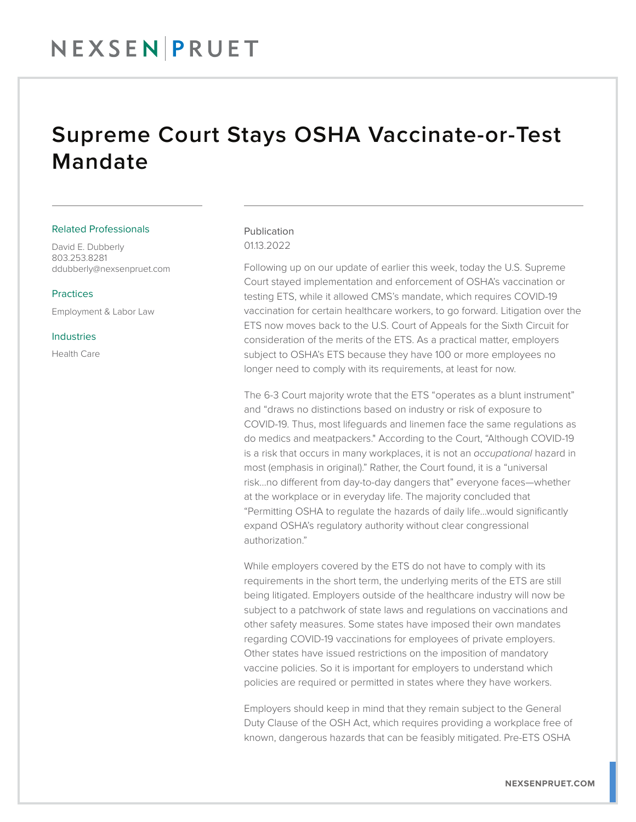## Supreme Court Stays OSHA Vaccinate-or-Test Mandate

#### Related Professionals

David E. Dubberly 803.253.8281 ddubberly@nexsenpruet.com

#### Practices

Employment & Labor Law

Industries

Health Care

### Publication 01.13.2022

Following up on our update of earlier this week, today the U.S. Supreme Court stayed implementation and enforcement of OSHA's vaccination or testing ETS, while it allowed CMS's mandate, which requires COVID-19 vaccination for certain healthcare workers, to go forward. Litigation over the ETS now moves back to the U.S. Court of Appeals for the Sixth Circuit for consideration of the merits of the ETS. As a practical matter, employers subject to OSHA's ETS because they have 100 or more employees no longer need to comply with its requirements, at least for now.

The 6-3 Court majority wrote that the ETS "operates as a blunt instrument" and "draws no distinctions based on industry or risk of exposure to COVID-19. Thus, most lifeguards and linemen face the same regulations as do medics and meatpackers." According to the Court, "Although COVID-19 is a risk that occurs in many workplaces, it is not an *occupational* hazard in most (emphasis in original)." Rather, the Court found, it is a "universal risk…no different from day-to-day dangers that" everyone faces—whether at the workplace or in everyday life. The majority concluded that "Permitting OSHA to regulate the hazards of daily life…would significantly expand OSHA's regulatory authority without clear congressional authorization."

While employers covered by the ETS do not have to comply with its requirements in the short term, the underlying merits of the ETS are still being litigated. Employers outside of the healthcare industry will now be subject to a patchwork of state laws and regulations on vaccinations and other safety measures. Some states have imposed their own mandates regarding COVID-19 vaccinations for employees of private employers. Other states have issued restrictions on the imposition of mandatory vaccine policies. So it is important for employers to understand which policies are required or permitted in states where they have workers.

Employers should keep in mind that they remain subject to the General Duty Clause of the OSH Act, which requires providing a workplace free of known, dangerous hazards that can be feasibly mitigated. Pre-ETS OSHA